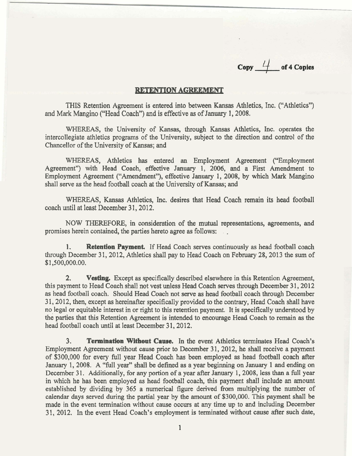Copy  $\frac{l}{l}$  of 4 Copies

## **RETENTION AGREEMENT**

THIS Retention Agreement is entered into between Kansas Athletics, Inc. ("Athletics") and Mark Mangino ("Head Coach") and is effective as of January 1,2008.

WHEREAS, the University of Kansas, through Kansas Athletics, Inc. operates the intercollegiate athletics programs of the University, subject to the direction and control of the Chancellor of the University of Kansas; and

WHEREAS, Athletics has entered an Employment Agreement ("Employment Agreement") with Head Coach, effective January 1, 2006, and a First Amendment to Employment Agreement ("Amendment"), effective January 1, 2008, by which Mark Mangino shall serve as the head football coach at the University of Kansas; and

WHEREAS, Kansas Athletics, Inc. desires that Head Coach remain its head football coach until at least December 31, 2012.

NOW THEREFORE, in consideration of the mutual representations, agreements, and promises herein contained, the parties hereto agree as follows:

**1. Retention Payment,** If Head Coach serves continuously as head football coach through December 31, 2012, Athletics shall pay to Head Coach on February 28, 2013 the sum of \$1,500,000.00.

**2. Vesting.** Except as specifically described elsewhere in this Retention Agreement, this payment to Head Coach shall not vest unless Head Coach serves through December 31, 2012 as head football coach. Should Head Coach not serve as head football coach through December 3 1,2012, then, except as hereinafter specifically provided to the contrary, Head Coach shall have no legal or equitable interest in or right to this retention payment. It is specifically understood by the parties that this Retention Agreement is intended to encourage Head Coach to remain as the head football coach until at least December 31, 2012.

**3. Termination Without Cause.** In the event Athletics terminates Head Coach's Employment Agreement without cause prior to December 31, 2012, he shall receive a payment of \$300,000 for every full year Head Coach has been employed as head football coach after January 1,2008. A "full year" shall be defined as a year beginning on January 1 and ending on December 31. Additionally, for any portion of a year after January 1, 2008, less than a full year in which he has been employed as head football coach, this payment shall include an amount established by dividing by 365 a numerical figure derived from multiplying the number of calendar days served during the partial year by the amount of \$300,000. This payment shall be made in the event termination without cause occurs at any time up to and including December 31, 2012. In the event Head Coach's employment is terminated without cause after such date,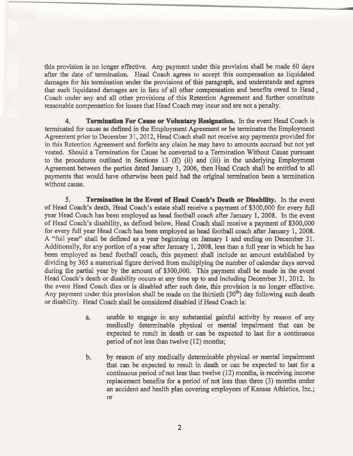this provision is no longer effective. Any payment under this provision shall be made 60 days after the date of termination. Head Coach agrees to accept this compensation as liquidated damages for his termination under the provisions of this paragraph, and understands and agrees that such liquidated damages are in lieu of all other compensation and benefits owed to Head, Coach under any and all other provisions of this Retention Agreement and further constitute reasonable compensation for losses that Head Coach may incur and are not a penalty.

**4. Termination For Cause or Voluntary Resignation.** In the event Head Coach is terminated for cause as defined in the Employment Agreement or he terminates the Employment Agreement prior to December 31, 2012, Head Coach shall not receive any payments provided for in this Retention Agreement and forfeits any claim he may have to amounts accrued but not yet vested. Should a Termination for Cause be converted to a Termination Without Cause pursuant to the procedures outlined in Sections 13 (E) (ii) and (iii) in the underlying Employment Agreement between the parties dated January 1, 2006, then Head Coach shall be entitled to all payments that would have otherwise been paid had the original termination been a termination without cause.

**5. Termination in the Event of Head Coach's Death or Disability. In** the event of Head Coach's death, Head Coach's estate shall receive a payment of \$300,000 for every full year Head Coach has been employed as head football coach after January 1,2008. In the event of Head Coach's disability, as defined below, Head Coach shall receive a payment of \$300,000 for every full year Head Coach has been employed as head football coach after January 1,2008. A "full year" shall be defined as a year beginning on January 1 and ending on December 31. Additionally, for any portion of a year after January 1,2008, less than a full year in which he has been employed as head football coach, this payment shall include an amount established by dividing by 365 a numerical figure derived from multiplying the number of calendar days served during the partial year by the amount of \$300,000. This payment shall be made in the event Head Coach's death or disability occurs at any time up to and including December 31, 2012. In the event Head Coach dies or is disabled after such date, this provision is no longer effective. Any payment under this provision shall be made on the thirtieth  $(30<sup>th</sup>)$  day following such death or disability. Head Coach shall be considered disabled if Head Coach is:

- a. unable to engage in any substantial gainful activity by reason of any medically determinable physical or mental impairment that can be expected to result in death or can be expected to last for a continuous period of not less than twelve  $(12)$  months;
- b. by reason of any medically determinable physical or mental impairment that can be expected to result in death or can be expected to last for a continuous period of not less than twelve (12) months, is receiving income replacement benefits for a period of not less than three (3) months under an accident and health plan covering employees of Kansas Athletics, Inc.; or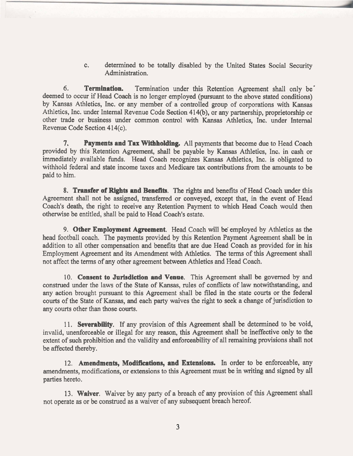c. determined to be totally disabled by the United States Social Security Administration.

**6. Termination.** Termination under this Retention Agreement shall only be \* deemed to occur if Head Coach is no longer employed (pursuant to the above stated conditions) by Kansas Athletics, Inc, or any member of a controlled group of corporations with Kansas Athletics, Inc. under Internal Revenue Code Section 414(b), or any partnership, proprietorship or other trade or business under common control with Kansas Athletics, Inc. under Internal Revenue Code Section 414(c).

**7. Payments and Tax Withholding.** All payments that become due to Head Coach provided by this Retention Agreement, shall be payable by Kansas Athletics, Inc. in cash or immediately available funds. Head Coach recognizes Kansas Athletics, Inc. is obligated to withhold federal and state income taxes and Medicare tax contributions from the amounts to be paid to him.

**8. Transfer of Righta and Benefits.** The rights and benefits of Head Coach under this Agreement shall not be assigned, transferred or conveyed, except that, in the event of Head Coach's death, the right to receive any Retention Payment to which Head Coach would then otherwise be entitled, shall be paid to Head Coach's estate.

**9. Other Employment Agreement.** Head Coach will be employed by Athletics as the head football coach. The payments provided by this Retention Payment Agreement shall be in addition to all other compensation and benefits that are due Head Coach as provided for in his Employment Agreement and its Amendment with Athletics. The terms of this Agreement shall not affect the terms of any other agreement between Athletics and Head Coach.

10. **Consent to Jurisdiction and Venue.** This Agreement shall be governed by and construed under the laws of the State of Kansas, rules of conflicts of law notwithstanding, and any action brought pursuant to this Agreement shall be filed in the state courts or the federal courts of the State of Kansas, and each party waives the right to seek a change of jurisdiction to any courts other than those courts,

1 1. **Severability.** If any provision of this Agreement shall be determined to be void, invalid, unenforceable or illegal for any reason, this Agreement shall be ineffective only to the extent of such prohibition and the validity and enforceability of all remaining provisions shall not be affected thereby.

**12. Amendments, Modifications, and Extensions.** In order to be enforceable, any amendments, modifications, or extensions to this Agreement must be in writing and signed by all parties hereto.

**13. Waiver.** Waiver by any party of a breach of any provision of this Agreement shall not operate as or be construed as a waiver of any subsequent breach hereof.